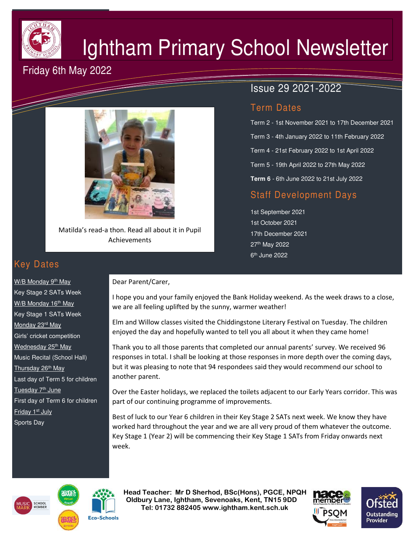

# Ightham Primary School Newsletter

## Friday 6th May 2022



Matilda's read-a thon. Read all about it in Pupil Achievements

# Issue 29 2021-2022

## Term Dates

Term 2 - 1st November 2021 to 17th December 2021 Term 3 - 4th January 2022 to 11th February 2022 Term 4 - 21st February 2022 to 1st April 2022 Term 5 - 19th April 2022 to 27th May 2022 **Term 6** - 6th June 2022 to 21st July 2022

## Staff Development Days

1st September 2021 1st October 2021 17th December 2021 27th May 2022 6<sup>th</sup> June 2022

# Key Dates

W/B Monday 9<sup>th</sup> May Key Stage 2 SATs Week W/B Monday 16<sup>th</sup> May Key Stage 1 SATs Week Monday 23<sup>rd</sup> May Girls' cricket competition Wednesday 25<sup>th</sup> May Music Recital (School Hall) Thursday 26<sup>th</sup> May Last day of Term 5 for children Tuesday 7<sup>th</sup> June First day of Term 6 for children Friday 1<sup>st</sup> July Sports Day

#### Dear Parent/Carer,

I hope you and your family enjoyed the Bank Holiday weekend. As the week draws to a close, we are all feeling uplifted by the sunny, warmer weather!

Elm and Willow classes visited the Chiddingstone Literary Festival on Tuesday. The children enjoyed the day and hopefully wanted to tell you all about it when they came home!

Thank you to all those parents that completed our annual parents' survey. We received 96 responses in total. I shall be looking at those responses in more depth over the coming days, but it was pleasing to note that 94 respondees said they would recommend our school to another parent.

Over the Easter holidays, we replaced the toilets adjacent to our Early Years corridor. This was part of our continuing programme of improvements.

Best of luck to our Year 6 children in their Key Stage 2 SATs next week. We know they have worked hard throughout the year and we are all very proud of them whatever the outcome. Key Stage 1 (Year 2) will be commencing their Key Stage 1 SATs from Friday onwards next week.





 **Head Teacher: Mr D Sherhod, BSc(Hons), PGCE, NPQH Oldbury Lane, Ightham, Sevenoaks, Kent, TN15 9DD** EXERIGING THE **TELE: 01732 882405 www.ightham.kent.sch.uk**<br>Tel: 01732 882405 www.ightham.kent.sch.uk



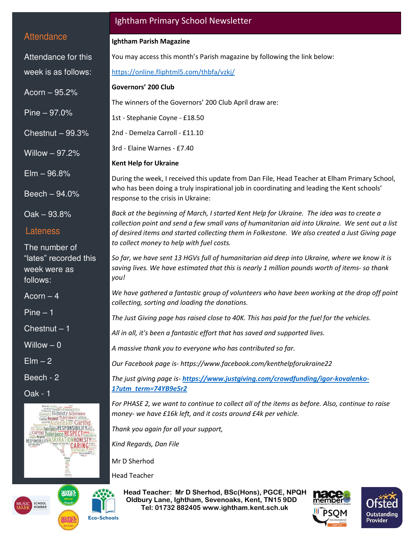#### **Attendance**

Attendance for this week is as follows:

Acorn – 95.2%

Pine – 97.0%

Chestnut – 99.3%

Willow – 97.2%

Elm – 96.8%

Beech – 94.0%

Oak – 93.8%

#### Lateness

The number of "lates" recorded this week were as follows:

Acorn – 4

Pine – 1

Chestnut – 1

Willow  $-0$ 

 $E$ lm  $-2$ 

Beech - 2

Oak - 1



## Ightham Primary School Newsletter

#### **Ightham Parish Magazine**

You may access this month's Parish magazine by following the link below:

<https://online.fliphtml5.com/thbfa/vzkj/>

#### **Governors' 200 Club**

The winners of the Governors' 200 Club April draw are:

1st - Stephanie Coyne - £18.50

2nd - Demelza Carroll - £11.10

3rd - Elaine Warnes - £7.40

#### **Kent Help for Ukraine**

During the week, I received this update from Dan File, Head Teacher at Elham Primary School, who has been doing a truly inspirational job in coordinating and leading the Kent schools' response to the crisis in Ukraine:

*Back at the beginning of March, I started Kent Help for Ukraine. The idea was to create a collection point and send a few small vans of humanitarian aid into Ukraine. We sent out a list of desired items and started collecting them in Folkestone. We also created a Just Giving page to collect money to help with fuel costs.* 

*So far, we have sent 13 HGVs full of humanitarian aid deep into Ukraine, where we know it is saving lives. We have estimated that this is nearly 1 million pounds worth of items- so thank you!* 

*We have gathered a fantastic group of volunteers who have been working at the drop off point collecting, sorting and loading the donations.* 

*The Just Giving page has raised close to 40K. This has paid for the fuel for the vehicles.* 

*All in all, it's been a fantastic effort that has saved and supported lives.* 

*A massive thank you to everyone who has contributed so far.* 

*Our Facebook page is[- https://www.facebook.com/kenthelpforukraine22](https://www.facebook.com/kenthelpforukraine22)* 

*The just giving page is- [https://www.justgiving.com/crowdfunding/igor-kovalenko-](https://www.justgiving.com/crowdfunding/igor-kovalenko-1?utm_term=74YB9e5r2)[1?utm\\_term=74YB9e5r2](https://www.justgiving.com/crowdfunding/igor-kovalenko-1?utm_term=74YB9e5r2)*

*For PHASE 2, we want to continue to collect all of the items as before. Also, continue to raise money- we have £16k left, and it costs around £4k per vehicle.* 

*Thank you again for all your support,* 

*Kind Regards, Dan File* 

Mr D Sherhod

Head Teacher

 **Head Teacher: Mr D Sherhod, BSc(Hons), PGCE, NPQH Oldbury Lane, Ightham, Sevenoaks, Kent, TN15 9DD Tel: 01732 882405 www.ightham.kent.sch.uk**